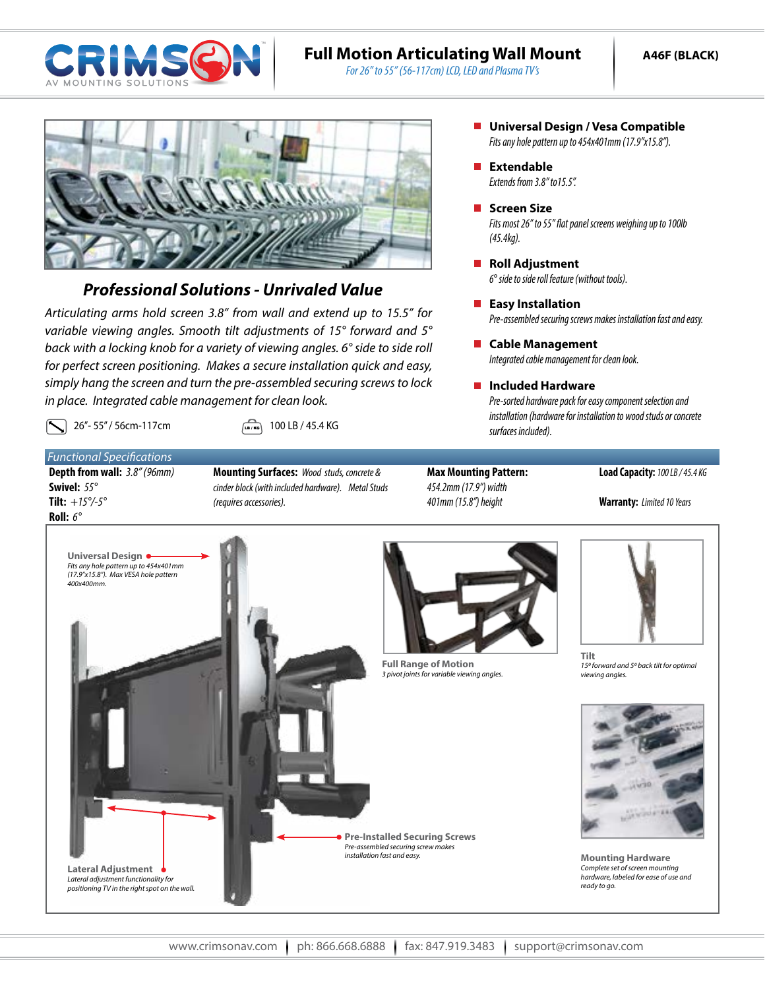

# **Full Motion Articulating Wall Mount**

*For 26" to 55" (56-117cm) LCD, LED and Plasma TV's*



## *Professional Solutions - Unrivaled Value*

*Articulating arms hold screen 3.8" from wall and extend up to 15.5" for variable viewing angles. Smooth tilt adjustments of 15° forward and 5° back with a locking knob for a variety of viewing angles. 6° side to side roll for perfect screen positioning. Makes a secure installation quick and easy, simply hang the screen and turn the pre-assembled securing screws to lock in place. Integrated cable management for clean look.*

26"- 55" / 56cm-117cm  $\sqrt{26}$  100 LB / 45.4 KG

*Functional Specifications* **Depth from wall:** *3.8" (96mm)* **Swivel:** *55°*  **Tilt:** *+15°/-5°* **Roll:** *6°*

- **Mounting Surfaces:** *Wood studs, concrete & cinder block (with included hardware). Metal Studs (requires accessories).*
- **Max Mounting Pattern:** *454.2mm (17.9") width 401mm (15.8") height*

#### **Load Capacity:** *100 LB / 45.4 KG*

**Warranty:** *Limited 10 Years*



- *Fits any hole pattern up to 454x401mm (17.9"x15.8").* **Universal Design / Vesa Compatible**
- *Extends from 3.8" to15.5".* **Extendable**
- *Fits most 26" to 55" flat panel screens weighing up to 100lb (45.4kg).* **Screen Size**
- *6*° *side to side roll feature (without tools).* ■ Roll Adjustment
- *Pre-assembled securing screws makes installation fast and easy.* **Easy Installation**
- *Integrated cable management for clean look.* **Cable Management**

### **Included Hardware**

*Pre-sorted hardware pack for easy component selection and installation (hardware for installation to wood studs or concrete surfaces included).*